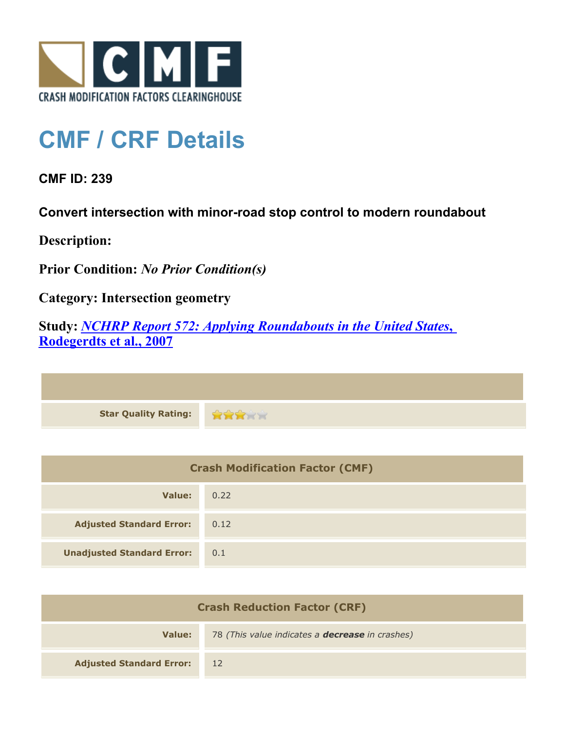

## **CMF / CRF Details**

**CMF ID: 239**

**Convert intersection with minor-road stop control to modern roundabout**

**Description:** 

**Prior Condition:** *No Prior Condition(s)*

**Category: Intersection geometry**

**Study:** *[NCHRP Report 572: Applying Roundabouts in the United States](http://www.cmfclearinghouse.org/study_detail.cfm?stid=53)***[,](http://www.cmfclearinghouse.org/study_detail.cfm?stid=53) [Rodegerdts et al., 2007](http://www.cmfclearinghouse.org/study_detail.cfm?stid=53)**

**Star Quality Rating: RRRY** 

| <b>Crash Modification Factor (CMF)</b> |      |
|----------------------------------------|------|
| Value:                                 | 0.22 |
| <b>Adjusted Standard Error:</b>        | 0.12 |
| <b>Unadjusted Standard Error:</b>      | 0.1  |

| <b>Crash Reduction Factor (CRF)</b> |                                                        |
|-------------------------------------|--------------------------------------------------------|
| Value:                              | 78 (This value indicates a <b>decrease</b> in crashes) |
| <b>Adjusted Standard Error:</b>     | 12                                                     |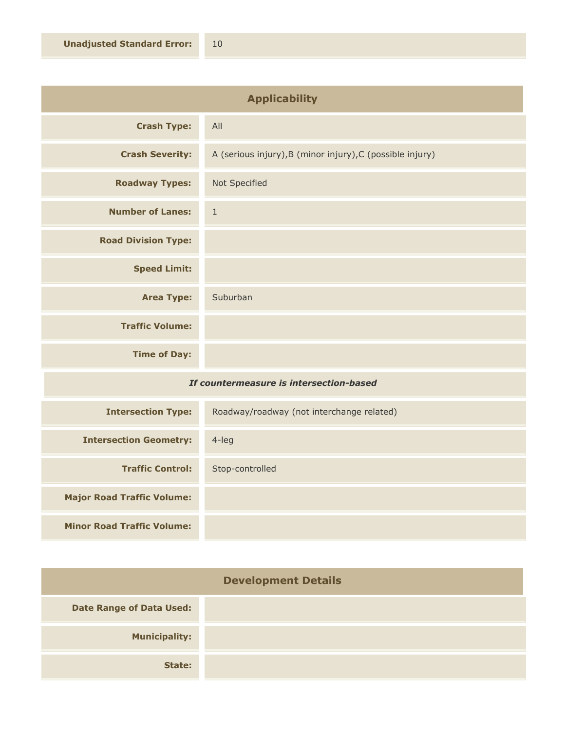| <b>Applicability</b>                    |                                                           |
|-----------------------------------------|-----------------------------------------------------------|
| <b>Crash Type:</b>                      | All                                                       |
| <b>Crash Severity:</b>                  | A (serious injury), B (minor injury), C (possible injury) |
| <b>Roadway Types:</b>                   | Not Specified                                             |
| <b>Number of Lanes:</b>                 | $\mathbf{1}$                                              |
| <b>Road Division Type:</b>              |                                                           |
| <b>Speed Limit:</b>                     |                                                           |
| <b>Area Type:</b>                       | Suburban                                                  |
| <b>Traffic Volume:</b>                  |                                                           |
| <b>Time of Day:</b>                     |                                                           |
| If countermeasure is intersection-based |                                                           |

| <b>Intersection Type:</b>         | Roadway/roadway (not interchange related) |
|-----------------------------------|-------------------------------------------|
| <b>Intersection Geometry:</b>     | 4-leg                                     |
| <b>Traffic Control:</b>           | Stop-controlled                           |
| <b>Major Road Traffic Volume:</b> |                                           |
| <b>Minor Road Traffic Volume:</b> |                                           |

| <b>Development Details</b>      |  |
|---------------------------------|--|
| <b>Date Range of Data Used:</b> |  |
| <b>Municipality:</b>            |  |
| State:                          |  |